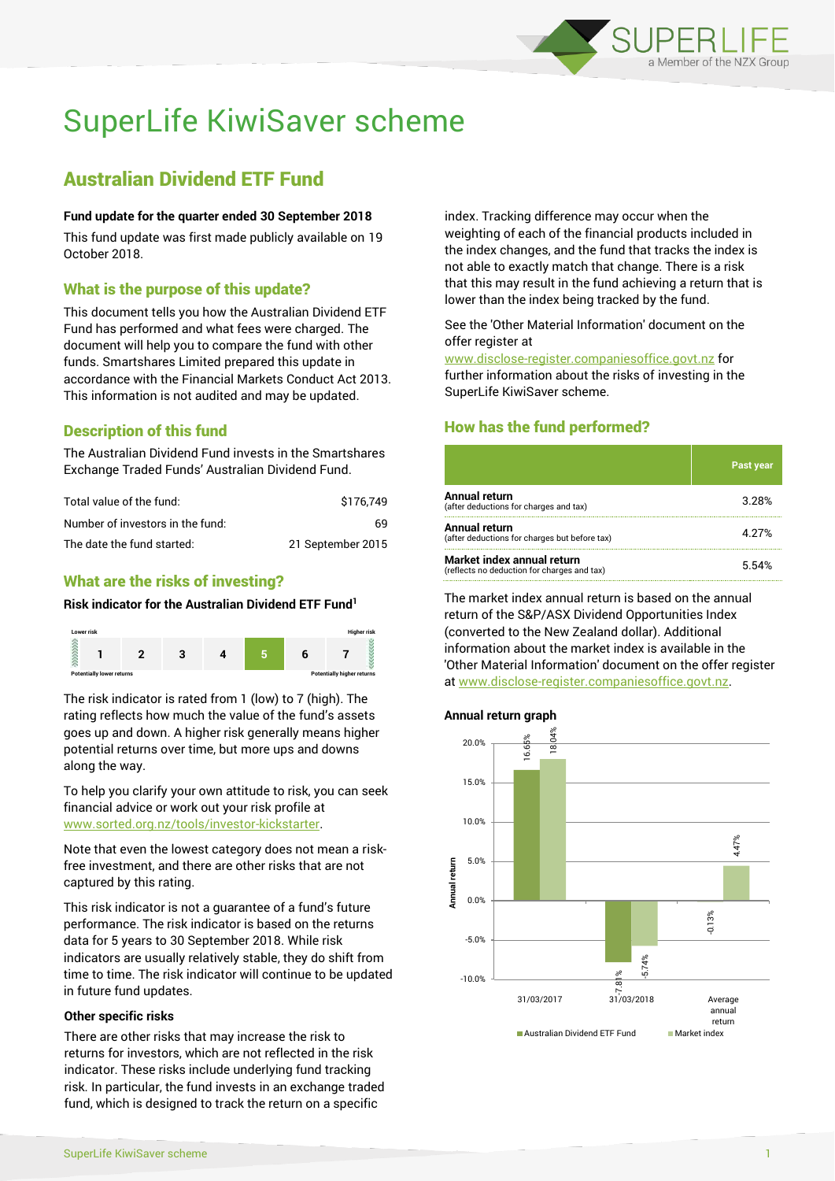

# SuperLife KiwiSaver scheme

# Australian Dividend ETF Fund

#### **Fund update for the quarter ended 30 September 2018**

This fund update was first made publicly available on 19 October 2018.

# What is the purpose of this update?

This document tells you how the Australian Dividend ETF Fund has performed and what fees were charged. The document will help you to compare the fund with other funds. Smartshares Limited prepared this update in accordance with the Financial Markets Conduct Act 2013. This information is not audited and may be updated.

# Description of this fund

The Australian Dividend Fund invests in the Smartshares Exchange Traded Funds' Australian Dividend Fund.

| Total value of the fund:         | \$176.749         |
|----------------------------------|-------------------|
| Number of investors in the fund: | 69.               |
| The date the fund started:       | 21 September 2015 |

# What are the risks of investing?

#### **Risk indicator for the Australian Dividend ETF Fund<sup>1</sup>**



The risk indicator is rated from 1 (low) to 7 (high). The rating reflects how much the value of the fund's assets goes up and down. A higher risk generally means higher potential returns over time, but more ups and downs along the way.

To help you clarify your own attitude to risk, you can seek financial advice or work out your risk profile at [www.sorted.org.nz/tools/investor-kickstarter.](http://www.sorted.org.nz/tools/investor-kickstarter)

Note that even the lowest category does not mean a riskfree investment, and there are other risks that are not captured by this rating.

This risk indicator is not a guarantee of a fund's future performance. The risk indicator is based on the returns data for 5 years to 30 September 2018. While risk indicators are usually relatively stable, they do shift from time to time. The risk indicator will continue to be updated in future fund updates.

#### **Other specific risks**

There are other risks that may increase the risk to returns for investors, which are not reflected in the risk indicator. These risks include underlying fund tracking risk. In particular, the fund invests in an exchange traded fund, which is designed to track the return on a specific

index. Tracking difference may occur when the weighting of each of the financial products included in the index changes, and the fund that tracks the index is not able to exactly match that change. There is a risk that this may result in the fund achieving a return that is lower than the index being tracked by the fund.

#### See the 'Other Material Information' document on the offer register at

www.disclose-register.companiesoffice.govt.nz for further information about the risks of investing in the SuperLife KiwiSaver scheme.

## How has the fund performed?

|                                                                           | <b>Past year</b> |
|---------------------------------------------------------------------------|------------------|
| <b>Annual return</b><br>(after deductions for charges and tax)            | 3.28%            |
| <b>Annual return</b><br>(after deductions for charges but before tax)     | 4 27%            |
| Market index annual return<br>(reflects no deduction for charges and tax) | 5.54%            |

The market index annual return is based on the annual return of the S&P/ASX Dividend Opportunities Index (converted to the New Zealand dollar). Additional information about the market index is available in the 'Other Material Information' document on the offer register at www.disclose-register.companiesoffice.govt.nz.

#### **Annual return graph**

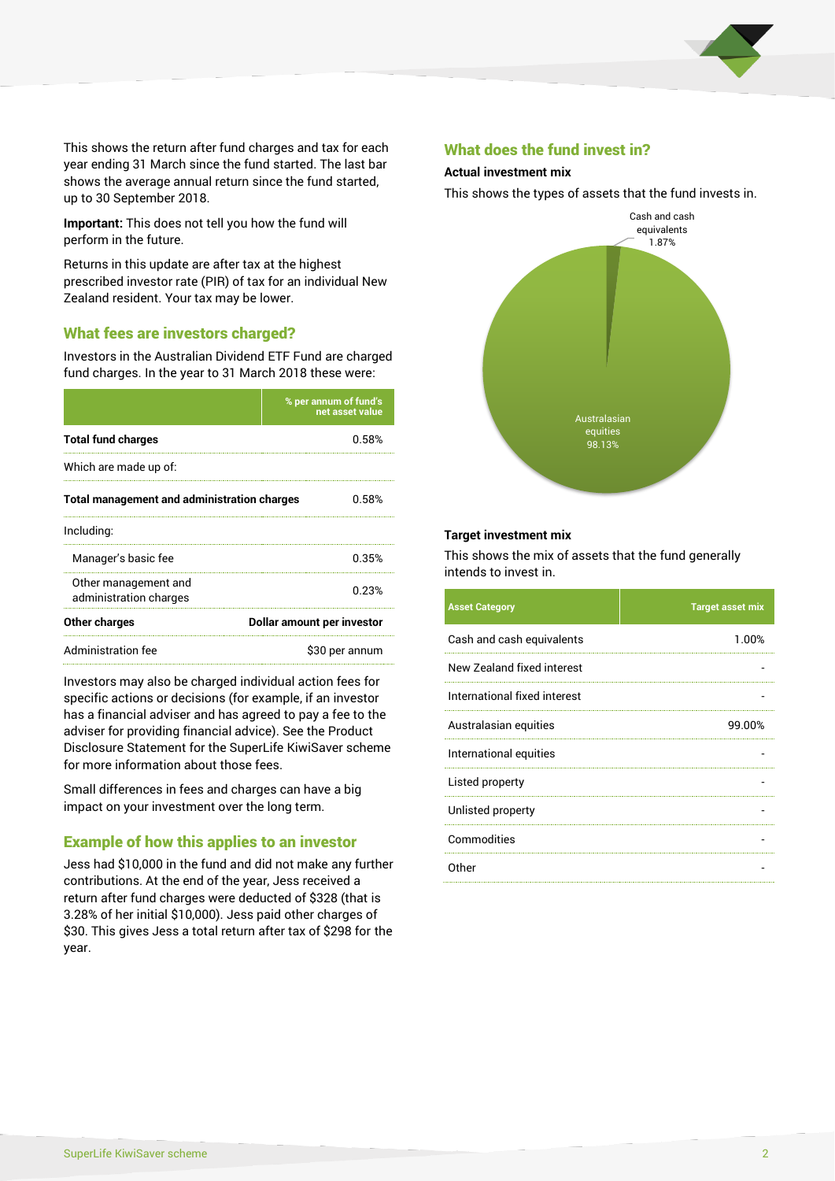

This shows the return after fund charges and tax for each year ending 31 March since the fund started. The last bar shows the average annual return since the fund started, up to 30 September 2018.

**Important:** This does not tell you how the fund will perform in the future.

Returns in this update are after tax at the highest prescribed investor rate (PIR) of tax for an individual New Zealand resident. Your tax may be lower.

#### What fees are investors charged?

Investors in the Australian Dividend ETF Fund are charged fund charges. In the year to 31 March 2018 these were:

|                                                    | % per annum of fund's<br>net asset value |  |
|----------------------------------------------------|------------------------------------------|--|
| <b>Total fund charges</b>                          | 0.58%                                    |  |
| Which are made up of:                              |                                          |  |
| <b>Total management and administration charges</b> | 0.58%                                    |  |
| Including:                                         |                                          |  |
| Manager's basic fee                                | 0.35%                                    |  |
| Other management and<br>administration charges     | 0.23%                                    |  |
| Other charges                                      | Dollar amount per investor               |  |
| Administration fee                                 | \$30 per annum                           |  |

Investors may also be charged individual action fees for specific actions or decisions (for example, if an investor has a financial adviser and has agreed to pay a fee to the adviser for providing financial advice). See the Product Disclosure Statement for the SuperLife KiwiSaver scheme for more information about those fees.

Small differences in fees and charges can have a big impact on your investment over the long term.

#### Example of how this applies to an investor

Jess had \$10,000 in the fund and did not make any further contributions. At the end of the year, Jess received a return after fund charges were deducted of \$328 (that is 3.28% of her initial \$10,000). Jess paid other charges of \$30. This gives Jess a total return after tax of \$298 for the year.

#### What does the fund invest in?

#### **Actual investment mix**

This shows the types of assets that the fund invests in.



#### **Target investment mix**

This shows the mix of assets that the fund generally intends to invest in.

| <b>Asset Category</b>        | <b>Target asset mix</b> |
|------------------------------|-------------------------|
| Cash and cash equivalents    | 1.00%                   |
| New Zealand fixed interest   |                         |
| International fixed interest |                         |
| Australasian equities        | 99.00%                  |
| International equities       |                         |
| Listed property              |                         |
| Unlisted property            |                         |
| Commodities                  |                         |
| Other                        |                         |